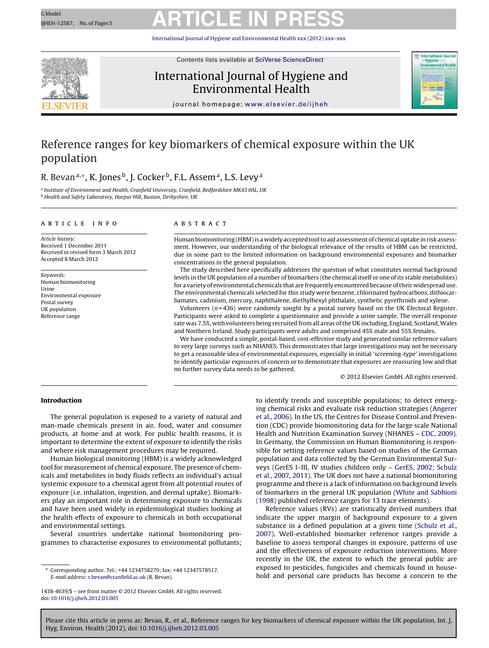# GModel GModel ARTICLE IN PRESS

International Journal of Hygiene and Environmental Health [xxx \(2012\) xxx–xxx](dx.doi.org/10.1016/j.ijheh.2012.03.005)



Contents lists available at SciVerse [ScienceDirect](http://www.sciencedirect.com/science/journal/14384639)

### International Journal of Hygiene and Environmental Health



jou rnal homepage: [www.elsevier.de/ijheh](http://www.elsevier.de/ijheh)

### Reference ranges for key biomarkers of chemical exposure within the UK population

### R. Bevan<sup>a,∗</sup>, K. Jones<sup>b</sup>, J. Cocker<sup>b</sup>, F.L. Assem<sup>a</sup>, L.S. Levy<sup>a</sup>

a Institute of Environment and Health, Cranfield University, Cranfield, Bedfordshire MK43 0AL, UK **b** Health and Safety Laboratory, Harpur Hill, Buxton, Derbyshire, UK

### a r t i c l e i n f o

Article history: Received 1 December 2011 Received in revised form 3 March 2012 Accepted 8 March 2012

Keywords: Human biomonitoring Urine Environmental exposure Postal survey UK population Reference range

### A B S T R A C T

Human biomonitoring (HBM) is a widely accepted tool to aid assessment of chemical uptake in risk assessment. However, our understanding of the biological relevance of the results of HBM can be restricted, due in some part to the limited information on background environmental exposures and biomarker concentrations in the general population.

The study described here specifically addresses the question of what constitutes normal background levels in the UK population of a number of biomarkers (the chemical itself or one of its stable metabolites) for a variety of environmental chemicals that are frequently encountered because oftheir widespread use. The environmental chemicals selected for this study were benzene, chlorinated hydrocarbons, dithiocarbamates, cadmium, mercury, naphthalene, diethylhexyl phthalate, synthetic pyrethroids and xylene.

Volunteers  $(n=436)$  were randomly sought by a postal survey based on the UK Electoral Register. Participants were asked to complete a questionnaire and provide a urine sample. The overall response rate was 7.5%, with volunteers being recruited from all areas of the UK including, England, Scotland, Wales and Northern Ireland. Study participants were adults and comprised 45% male and 55% females.

We have conducted a simple, postal-based, cost-effective study and generated similar reference values to very large surveys such as NHANES. This demonstrates that large investigations may not be necessary to get a reasonable idea of environmental exposures, especially in initial 'screening-type' investigations to identify particular exposures of concern or to demonstrate that exposures are reassuring low and that no further survey data needs to be gathered.

© 2012 Elsevier GmbH. All rights reserved.

### **Introduction**

The general population is exposed to a variety of natural and man-made chemicals present in air, food, water and consumer products, at home and at work. For public health reasons, it is important to determine the extent of exposure to identify the risks and where risk management procedures may be required.

Human biological monitoring (HBM) is a widely acknowledged tool for measurement of chemical exposure. The presence of chemicals and metabolites in body fluids reflects an individual's actual systemic exposure to a chemical agent from all potential routes of exposure (i.e. inhalation, ingestion, and dermal uptake). Biomarkers play an important role in determining exposure to chemicals and have been used widely in epidemiological studies looking at the health effects of exposure to chemicals in both occupational and environmental settings.

Several countries undertake national biomonitoring programmes to characterise exposures to environmental pollutants; to identify trends and susceptible populations; to detect emerging chemical risks and evaluate risk reduction strategies [\(Angerer](#page-4-0) et [al.,](#page-4-0) [2006\).](#page-4-0) In the US, the Centres for Disease Control and Prevention (CDC) provide biomonitoring data for the large scale National Health and Nutrition Examination Survey (NHANES – [CDC,](#page-4-0) [2009\).](#page-4-0) In Germany, the Commission on Human Biomonitoring is responsible for setting reference values based on studies of the German population and data collected by the German Environmental Surveys (GerES I–III, IV studies children only – [GerES,](#page-4-0) [2002;](#page-4-0) [Schulz](#page-4-0) et [al.,](#page-4-0) [2007,](#page-4-0) [2011\).](#page-4-0) The UK does not have a national biomonitoring programme and there is a lack of information on background levels of biomarkers in the general UK population [\(White](#page-4-0) [and](#page-4-0) [Sabbioni](#page-4-0) [\(1998\)](#page-4-0) published reference ranges for 13 trace elements).

Reference values (RVs) are statistically derived numbers that indicate the upper margin of background exposure to a given substance in a defined population at a given time [\(Schulz](#page-4-0) et [al.,](#page-4-0) [2007\).](#page-4-0) Well-established biomarker reference ranges provide a baseline to assess temporal changes in exposure, patterns of use and the effectiveness of exposure reduction interventions. More recently in the UK, the extent to which the general public are exposed to pesticides, fungicides and chemicals found in household and personal care products has become a concern to the

<sup>∗</sup> Corresponding author. Tel.: +44 1234758279; fax: +44 12347578517. E-mail address: [r.bevan@cranfield.ac.uk](mailto:r.bevan@cranfield.ac.uk) (R. Bevan).

<sup>1438-4639/\$</sup> – see front matter © 2012 Elsevier GmbH. All rights reserved. doi:[10.1016/j.ijheh.2012.03.005](dx.doi.org/10.1016/j.ijheh.2012.03.005)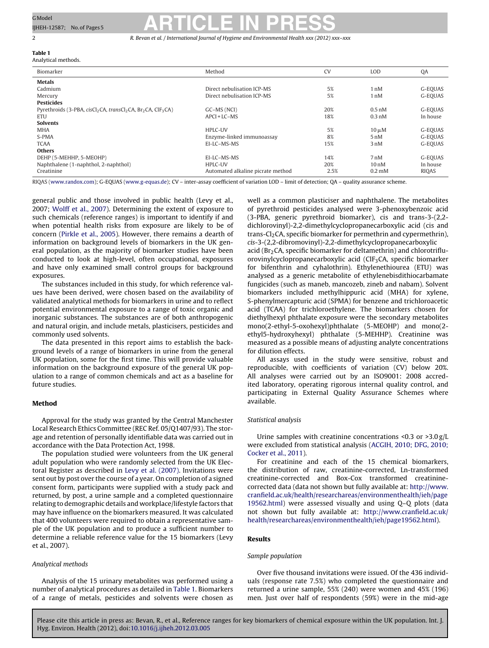#### **Table 1** Analytical methods.

### GModel GModel ARTICLE IN PRESS

2 R. Bevan et al. / International Journal of Hygiene and Environmental Health *xxx (2012) xxx–xxx*

| Anaiytical methods.                                                  |                                   |           |                   |          |
|----------------------------------------------------------------------|-----------------------------------|-----------|-------------------|----------|
| Biomarker                                                            | Method                            | <b>CV</b> | <b>LOD</b>        | QA       |
| <b>Metals</b>                                                        |                                   |           |                   |          |
| Cadmium                                                              | Direct nebulisation ICP-MS        | 5%        | 1 nM              | G-EOUAS  |
| Mercury                                                              | Direct nebulisation ICP-MS        | 5%        | 1 nM              | G-EOUAS  |
| <b>Pesticides</b>                                                    |                                   |           |                   |          |
| Pyrethroids (3-PBA, $cisCl2CA$ , $transCl2CA$ , $Br2CA$ , $ClF3CA$ ) | GC-MS (NCI)                       | 20%       | $0.5$ nM          | G-EOUAS  |
| <b>ETU</b>                                                           | APCI + LC-MS                      | 18%       | $0.3$ nM          | In house |
| <b>Solvents</b>                                                      |                                   |           |                   |          |
| <b>MHA</b>                                                           | HPLC-UV                           | 5%        | $10 \mu M$        | G-EOUAS  |
| S-PMA                                                                | Enzyme-linked immunoassay         | 8%        | 5 <sub>nM</sub>   | G-EOUAS  |
| <b>TCAA</b>                                                          | EI-LC-MS-MS                       | 15%       | 3nM               | G-EOUAS  |
| <b>Others</b>                                                        |                                   |           |                   |          |
| DEHP (5-MEHHP, 5-MEOHP)                                              | EI-LC-MS-MS                       | 14%       | 7 <sub>nM</sub>   | G-EOUAS  |
| Naphthalene (1-naphthol, 2-naphthol)                                 | HPLC-UV                           | 20%       | 10 <sub>n</sub> M | In house |
| Creatinine                                                           | Automated alkaline picrate method | 2.5%      | $0.2 \text{ mM}$  | RIQAS    |

RIQAS ([www.randox.com\)](http://www.randox.com/); G-EQUAS ([www.g-equas.de](http://www.g-equas.de/)); CV – inter-assay coefficient of variation LOD – limit of detection; QA – quality assurance scheme.

general public and those involved in public health (Levy et al., 2007; [Wolff](#page-4-0) et [al.,](#page-4-0) [2007\).](#page-4-0) Determining the extent of exposure to such chemicals (reference ranges) is important to identify if and when potential health risks from exposure are likely to be of concern [\(Pirkle](#page-4-0) et [al.,](#page-4-0) [2005\).](#page-4-0) However, there remains a dearth of information on background levels of biomarkers in the UK general population, as the majority of biomarker studies have been conducted to look at high-level, often occupational, exposures and have only examined small control groups for background exposures.

The substances included in this study, for which reference values have been derived, were chosen based on the availability of validated analytical methods for biomarkers in urine and to reflect potential environmental exposure to a range of toxic organic and inorganic substances. The substances are of both anthropogenic and natural origin, and include metals, plasticisers, pesticides and commonly used solvents.

The data presented in this report aims to establish the background levels of a range of biomarkers in urine from the general UK population, some for the first time. This will provide valuable information on the background exposure of the general UK population to a range of common chemicals and act as a baseline for future studies.

### **Method**

Approval for the study was granted by the Central Manchester Local Research Ethics Committee (REC Ref. 05/Q1407/93). The storage and retention of personally identifiable data was carried out in accordance with the Data Protection Act, 1998.

The population studied were volunteers from the UK general adult population who were randomly selected from the UK Electoral Register as described in [Levy](#page-4-0) et [al.](#page-4-0) [\(2007\).](#page-4-0) Invitations were sent out by post over the course of a year. On completion of a signed consent form, participants were supplied with a study pack and returned, by post, a urine sample and a completed questionnaire relating to demographic details and workplace/lifestyle factors that may have influence on the biomarkers measured. It was calculated that 400 volunteers were required to obtain a representative sample of the UK population and to produce a sufficient number to determine a reliable reference value for the 15 biomarkers (Levy et al., 2007).

### Analytical methods

Analysis of the 15 urinary metabolites was performed using a number of analytical procedures as detailed in Table 1. Biomarkers of a range of metals, pesticides and solvents were chosen as

well as a common plasticiser and naphthalene. The metabolites of pyrethroid pesticides analysed were 3-phenoxybenzoic acid (3-PBA, generic pyrethroid biomarker), cis and trans-3-(2,2 dichlorovinyl)-2,2-dimethylcyclopropanecarboxylic acid (cis and trans-Cl<sub>2</sub>CA, specific biomarker for permethrin and cypermethrin), cis-3-(2,2-dibromovinyl)-2,2-dimethylcyclopropanecarboxylic

acid ( $Br<sub>2</sub>CA$ , specific biomarker for deltamethrin) and chlorotrifluorovinylcyclopropanecarboxylic acid (ClF<sub>3</sub>CA, specific biomarker for bifenthrin and cyhalothrin). Ethylenethiourea (ETU) was analysed as a generic metabolite of ethylenebisdithiocarbamate fungicides (such as maneb, mancozeb, zineb and nabam). Solvent biomarkers included methylhippuric acid (MHA) for xylene, S-phenylmercapturic acid (SPMA) for benzene and trichloroacetic acid (TCAA) for trichloroethylene. The biomarkers chosen for diethylhexyl phthalate exposure were the secondary metabolites mono(2-ethyl-5-oxohexyl)phthalate (5-MEOHP) and mono(2 ethyl5-hydroxyhexyl) phthalate (5-MEHHP). Creatinine was measured as a possible means of adjusting analyte concentrations for dilution effects.

All assays used in the study were sensitive, robust and reproducible, with coefficients of variation (CV) below 20%. All analyses were carried out by an ISO9001: 2008 accredited laboratory, operating rigorous internal quality control, and participating in External Quality Assurance Schemes where available.

### Statistical analysis

Urine samples with creatinine concentrations <0.3 or >3.0 g/L were excluded from statistical analysis [\(ACGIH,](#page-4-0) [2010;](#page-4-0) [DFG,](#page-4-0) [2010;](#page-4-0) [Cocker](#page-4-0) et [al.,](#page-4-0) [2011\).](#page-4-0)

For creatinine and each of the 15 chemical biomarkers, the distribution of raw, creatinine-corrected, Ln-transformed creatinine-corrected and Box-Cox transformed creatininecorrected data (data not shown but fully available at: [http://www.](http://www.cranfield.ac.uk/health/researchareas/environmenthealth/ieh/page19562.html) [cranfield.ac.uk/health/researchareas/environmenthealth/ieh/page](http://www.cranfield.ac.uk/health/researchareas/environmenthealth/ieh/page19562.html) [19562.html\)](http://www.cranfield.ac.uk/health/researchareas/environmenthealth/ieh/page19562.html) were assessed visually and using Q–Q plots (data not shown but fully available at: [http://www.cranfield.ac.uk/](http://www.cranfield.ac.uk/health/researchareas/environmenthealth/ieh/page19562.html) [health/researchareas/environmenthealth/ieh/page19562.html\)](http://www.cranfield.ac.uk/health/researchareas/environmenthealth/ieh/page19562.html).

### **Results**

### Sample population

Over five thousand invitations were issued. Of the 436 individuals (response rate 7.5%) who completed the questionnaire and returned a urine sample, 55% (240) were women and 45% (196) men. Just over half of respondents (59%) were in the mid-age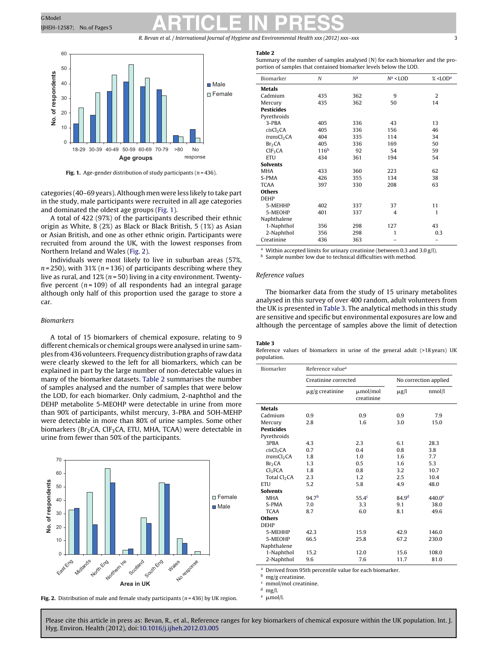## <span id="page-2-0"></span>GModel GModel ARTICLE IN PRESS

R. Bevan et al. / International Journal of Hygiene and Environmental Health *xxx (2012) xxx–xxx* 3



**Fig. 1.** Age-gender distribution of study participants ( $n = 436$ ).

categories (40–69 years). Although men were less likely to take part in the study, male participants were recruited in all age categories and dominated the oldest age groups (Fig. 1).

A total of 422 (97%) of the participants described their ethnic origin as White, 8 (2%) as Black or Black British, 5 (1%) as Asian or Asian British, and one as other ethnic origin. Participants were recruited from around the UK, with the lowest responses from Northern Ireland and Wales (Fig. 2).

Individuals were most likely to live in suburban areas (57%,  $n = 250$ ), with 31% ( $n = 136$ ) of participants describing where they live as rural, and  $12\%$  ( $n = 50$ ) living in a city environment. Twentyfive percent ( $n = 109$ ) of all respondents had an integral garage although only half of this proportion used the garage to store a car.

### Biomarkers

A total of 15 biomarkers of chemical exposure, relating to 9 different chemicals or chemical groups were analysed in urine samples from436 volunteers. Frequencydistributiongraphs of raw data were clearly skewed to the left for all biomarkers, which can be explained in part by the large number of non-detectable values in many of the biomarker datasets. Table 2 summarises the number of samples analysed and the number of samples that were below the LOD, for each biomarker. Only cadmium, 2-naphthol and the DEHP metabolite 5-MEOHP were detectable in urine from more than 90% of participants, whilst mercury, 3-PBA and 5OH-MEHP were detectable in more than 80% of urine samples. Some other biomarkers ( $Br<sub>2</sub>CA$ , ClF<sub>3</sub>CA, ETU, MHA, TCAA) were detectable in urine from fewer than 50% of the participants.



**Fig. 2.** Distribution of male and female study participants ( $n = 436$ ) by UK region.

#### **Table 2**

Summary of the number of samples analysed (N) for each biomarker and the proportion of samples that contained biomarker levels below the LOD.

| Biomarker               | N                | N <sup>a</sup> | $N^a$ < LOD | $%$ <lod<sup>a</lod<sup> |
|-------------------------|------------------|----------------|-------------|--------------------------|
| <b>Metals</b>           |                  |                |             |                          |
| Cadmium                 | 435              | 362            | 9           | 2                        |
| Mercury                 | 435              | 362            | 50          | 14                       |
| <b>Pesticides</b>       |                  |                |             |                          |
| Pyrethroids             |                  |                |             |                          |
| 3-PBA                   | 405              | 336            | 43          | 13                       |
| cisCl <sub>2</sub> CA   | 405              | 336            | 156         | 46                       |
| transCl <sub>2</sub> CA | 404              | 335            | 114         | 34                       |
| Br <sub>2</sub> CA      | 405              | 336            | 169         | 50                       |
| CIF <sub>3</sub> CA     | 116 <sup>b</sup> | 92             | 54          | 59                       |
| <b>ETU</b>              | 434              | 361            | 194         | 54                       |
| <b>Solvents</b>         |                  |                |             |                          |
| <b>MHA</b>              | 433              | 360            | 223         | 62                       |
| S-PMA                   | 426              | 355            | 134         | 38                       |
| <b>TCAA</b>             | 397              | 330            | 208         | 63                       |
| <b>Others</b>           |                  |                |             |                          |
| <b>DEHP</b>             |                  |                |             |                          |
| 5-MEHHP                 | 402              | 337            | 37          | 11                       |
| 5-MEOHP                 | 401              | 337            | 4           | 1                        |
| Naphthalene             |                  |                |             |                          |
| 1-Naphthol              | 356              | 298            | 127         | 43                       |
| 2-Naphthol              | 356              | 298            | 1           | 0.3                      |
| Creatinine              | 436              | 363            |             |                          |

Within accepted limits for urinary creatinine (between 0.3 and 3.0  $g$ /l). **b** Sample number low due to technical difficulties with method.

### Reference values

The biomarker data from the study of 15 urinary metabolites analysed in this survey of over 400 random, adult volunteers from the UK is presented in Table 3. The analytical methods in this study are sensitive and specific but environmental exposures are low and although the percentage of samples above the limit of detection

#### **Table 3**

Reference values of biomarkers in urine of the general adult (>18 years) UK population.

| Biomarker                | Reference value <sup>a</sup> |                             |                       |                    |  |
|--------------------------|------------------------------|-----------------------------|-----------------------|--------------------|--|
|                          | Creatinine corrected         |                             | No correction applied |                    |  |
|                          | $\mu$ g/g creatinine         | $\mu$ mol/mol<br>creatinine | $\mu$ g/l             | nmol/l             |  |
| <b>Metals</b>            |                              |                             |                       |                    |  |
| Cadmium                  | 0.9                          | 0.9                         | 0.9                   | 7.9                |  |
| Mercury                  | 2.8                          | 1.6                         | 3.0                   | 15.0               |  |
| <b>Pesticides</b>        |                              |                             |                       |                    |  |
| Pyrethroids              |                              |                             |                       |                    |  |
| 3PBA                     | 4.3                          | 2.3                         | 6.1                   | 28.3               |  |
| cisCl <sub>2</sub> CA    | 0.7                          | 0.4                         | 0.8                   | 3.8                |  |
| transCl <sub>2</sub> CA  | 1.8                          | 1.0                         | 1.6                   | 7.7                |  |
| Br <sub>2</sub> CA       | 1.3                          | 0.5                         | 1.6                   | 5.3                |  |
| Cl <sub>3</sub> FCA      | 1.8                          | 0.8                         | 3.2                   | 10.7               |  |
| Total Cl <sub>2</sub> CA | 2.3                          | 1.2                         | 2.5                   | 10.4               |  |
| <b>ETU</b>               | 5.2                          | 5.8                         | 4.9                   | 48.0               |  |
| <b>Solvents</b>          |                              |                             |                       |                    |  |
| <b>MHA</b>               | 94.7 <sup>b</sup>            | 55.4 <sup>c</sup>           | 84.9 <sup>d</sup>     | 440.0 <sup>e</sup> |  |
| S-PMA                    | 7.0                          | 3.3                         | 9.1                   | 38.0               |  |
| <b>TCAA</b>              | 8.7                          | 6.0                         | 8.1                   | 49.6               |  |
| <b>Others</b>            |                              |                             |                       |                    |  |
| <b>DEHP</b>              |                              |                             |                       |                    |  |
| 5-MEHHP                  | 42.3                         | 15.9                        | 42.9                  | 146.0              |  |
| 5-MEOHP                  | 66.5                         | 25.8                        | 67.2                  | 230.0              |  |
| Naphthalene              |                              |                             |                       |                    |  |
| 1-Naphthol               | 15.2                         | 12.0                        | 15.6                  | 108.0              |  |
| 2-Naphthol               | 9.6                          | 7.6                         | 11.7                  | 81.0               |  |

Derived from 95th percentile value for each biomarker

 $\frac{b}{f}$  mg/g creatinine.

 $\frac{c}{d}$  mmol/mol creatinine.

 $e$   $\mu$ mol/l.

 $mg/l$ .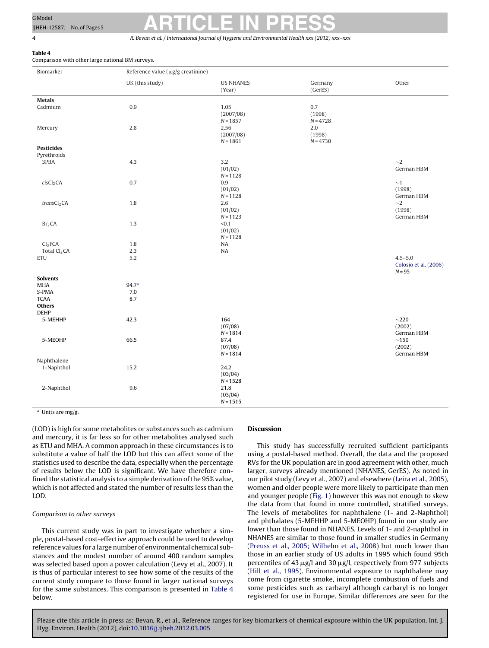**Table 4** Comparison with other large national BM surveys.

# <span id="page-3-0"></span>GModel GModel ARTICLE IN PRESS

4 R. Bevan et al. / International Journal of Hygiene and Environmental Health *xxx (2012) xxx–xxx*

| Biomarker                                   | Reference value ( $\mu$ g/g creatinine) |                                 |                                 |                                                  |  |  |
|---------------------------------------------|-----------------------------------------|---------------------------------|---------------------------------|--------------------------------------------------|--|--|
|                                             | UK (this study)                         | <b>US NHANES</b><br>(Year)      | Germany<br>(GerES)              | Other                                            |  |  |
| <b>Metals</b>                               |                                         |                                 |                                 |                                                  |  |  |
| Cadmium                                     | $0.9\,$                                 | 1.05<br>(2007/08)<br>$N = 1857$ | 0.7<br>(1998)<br>$N = 4728$     |                                                  |  |  |
| Mercury                                     | 2.8                                     | 2.56<br>(2007/08)<br>$N = 1861$ | $2.0\,$<br>(1998)<br>$N = 4730$ |                                                  |  |  |
| <b>Pesticides</b>                           |                                         |                                 |                                 |                                                  |  |  |
| Pyrethroids                                 |                                         |                                 |                                 |                                                  |  |  |
| 3PBA                                        | 4.3                                     | 3.2<br>(01/02)<br>$N = 1128$    |                                 | ${\sim}2$<br>German HBM                          |  |  |
| cisCl <sub>2</sub> CA                       | 0.7                                     | 0.9<br>(01/02)<br>$N = 1128$    |                                 | $\sim$ 1<br>(1998)<br>German HBM                 |  |  |
| transCl <sub>2</sub> CA                     | 1.8                                     | 2.6<br>(01/02)<br>$N = 1123$    |                                 | ${\sim}2$<br>(1998)<br>German HBM                |  |  |
| Br <sub>2</sub> CA                          | 1.3                                     | < 0.1<br>(01/02)<br>$N = 1128$  |                                 |                                                  |  |  |
| Cl <sub>3</sub> FCA                         | 1.8                                     | NA                              |                                 |                                                  |  |  |
| Total Cl <sub>2</sub> CA                    | 2.3                                     | NA                              |                                 |                                                  |  |  |
| ETU                                         | 5.2                                     |                                 |                                 | $4.5 - 5.0$<br>Colosio et al. (2006)<br>$N = 95$ |  |  |
| <b>Solvents</b>                             |                                         |                                 |                                 |                                                  |  |  |
| MHA                                         | 94.7ª                                   |                                 |                                 |                                                  |  |  |
| S-PMA                                       | 7.0                                     |                                 |                                 |                                                  |  |  |
| <b>TCAA</b><br><b>Others</b><br><b>DEHP</b> | 8.7                                     |                                 |                                 |                                                  |  |  |
| 5-MEHHP                                     | 42.3                                    | 164<br>(07/08)<br>$N = 1814$    |                                 | ${\sim}220$<br>(2002)<br>German HBM              |  |  |
| 5-MEOHP                                     | 66.5                                    | 87.4<br>(07/08)<br>$N = 1814$   |                                 | ${\sim}150$<br>(2002)<br>German HBM              |  |  |
| Naphthalene                                 |                                         |                                 |                                 |                                                  |  |  |
| 1-Naphthol                                  | 15.2                                    | 24.2<br>(03/04)<br>$N = 1528$   |                                 |                                                  |  |  |
| 2-Naphthol                                  | $9.6\,$                                 | 21.8<br>(03/04)<br>$N = 1515$   |                                 |                                                  |  |  |

<sup>a</sup> Units are mg/g.

(LOD) is high for some metabolites or substances such as cadmium and mercury, it is far less so for other metabolites analysed such as ETU and MHA. A common approach in these circumstances is to substitute a value of half the LOD but this can affect some of the statistics used to describe the data, especially when the percentage of results below the LOD is significant. We have therefore confined the statistical analysis to a simple derivation of the 95% value, which is not affected and stated the number of results less than the LOD.

### Comparison to other surveys

This current study was in part to investigate whether a simple, postal-based cost-effective approach could be used to develop reference values for a large number of environmental chemical substances and the modest number of around 400 random samples was selected based upon a power calculation (Levy et al., 2007). It is thus of particular interest to see how some of the results of the current study compare to those found in larger national surveys for the same substances. This comparison is presented in Table 4 below.

### **Discussion**

This study has successfully recruited sufficient participants using a postal-based method. Overall, the data and the proposed RVs for the UK population are in good agreement with other, much larger, surveys already mentioned (NHANES, GerES). As noted in our pilot study (Levy et al., 2007) and elsewhere ([Leira](#page-4-0) et [al.,](#page-4-0) [2005\),](#page-4-0) women and older people were more likely to participate than men and younger people ([Fig.](#page-2-0) 1) however this was not enough to skew the data from that found in more controlled, stratified surveys. The levels of metabolites for naphthalene (1- and 2-Naphthol) and phthalates (5-MEHHP and 5-MEOHP) found in our study are lower than those found in NHANES. Levels of 1- and 2-naphthol in NHANES are similar to those found in smaller studies in Germany [\(Preuss](#page-4-0) et [al.,](#page-4-0) [2005;](#page-4-0) [Wilhelm](#page-4-0) et [al.,](#page-4-0) [2008\)](#page-4-0) but much lower than those in an earlier study of US adults in 1995 which found 95th percentiles of 43  $\mu$ g/l and 30  $\mu$ g/l, respectively from 977 subjects [\(Hill](#page-4-0) et [al.,](#page-4-0) [1995\).](#page-4-0) Environmental exposure to naphthalene may come from cigarette smoke, incomplete combustion of fuels and some pesticides such as carbaryl although carbaryl is no longer registered for use in Europe. Similar differences are seen for the